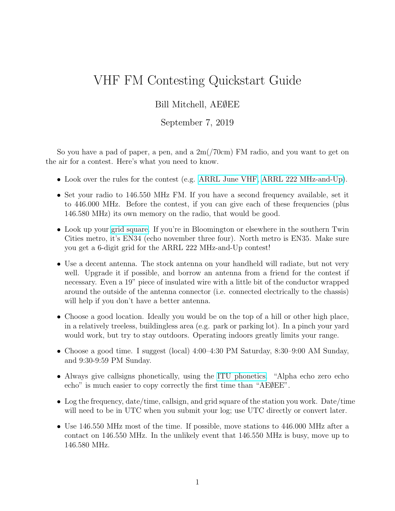## VHF FM Contesting Quickstart Guide

## Bill Mitchell, AE∅EE

## September 7, 2019

So you have a pad of paper, a pen, and a 2m(/70cm) FM radio, and you want to get on the air for a contest. Here's what you need to know.

- Look over the rules for the contest (e.g. [ARRL June VHF,](http://www.arrl.org/june-vhf) [ARRL 222 MHz-and-Up\)](http://www.arrl.org/222-mhz-and-up-distance-contest).
- Set your radio to 146.550 MHz FM. If you have a second frequency available, set it to 446.000 MHz. Before the contest, if you can give each of these frequencies (plus 146.580 MHz) its own memory on the radio, that would be good.
- Look up your [grid square.](http://levinecentral.com/ham/grid_square.php) If you're in Bloomington or elsewhere in the southern Twin Cities metro, it's EN34 (echo november three four). North metro is EN35. Make sure you get a 6-digit grid for the ARRL 222 MHz-and-Up contest!
- Use a decent antenna. The stock antenna on your handheld will radiate, but not very well. Upgrade it if possible, and borrow an antenna from a friend for the contest if necessary. Even a 19" piece of insulated wire with a little bit of the conductor wrapped around the outside of the antenna connector (i.e. connected electrically to the chassis) will help if you don't have a better antenna.
- Choose a good location. Ideally you would be on the top of a hill or other high place, in a relatively treeless, buildingless area (e.g. park or parking lot). In a pinch your yard would work, but try to stay outdoors. Operating indoors greatly limits your range.
- Choose a good time. I suggest (local) 4:00–4:30 PM Saturday, 8:30–9:00 AM Sunday, and 9:30-9:59 PM Sunday.
- Always give callsigns phonetically, using the [ITU phonetics.](https://en.wikipedia.org/wiki/NATO_phonetic_alphabet) "Alpha echo zero echo echo" is much easier to copy correctly the first time than "AE∅EE".
- Log the frequency, date/time, callsign, and grid square of the station you work. Date/time will need to be in UTC when you submit your log; use UTC directly or convert later.
- Use 146.550 MHz most of the time. If possible, move stations to 446.000 MHz after a contact on 146.550 MHz. In the unlikely event that 146.550 MHz is busy, move up to 146.580 MHz.